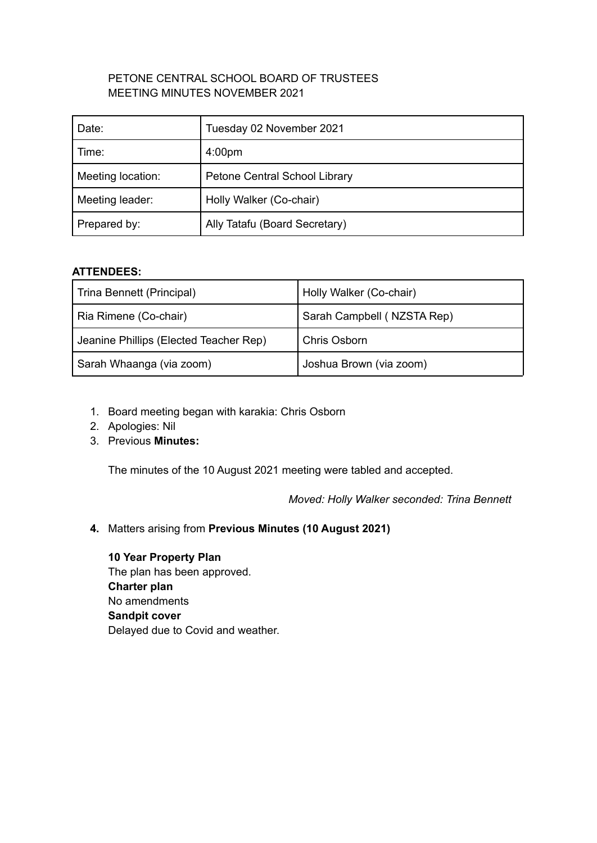# PETONE CENTRAL SCHOOL BOARD OF TRUSTEES MEETING MINUTES NOVEMBER 2021

| Date:             | Tuesday 02 November 2021      |
|-------------------|-------------------------------|
| Time:             | 4:00 <sub>pm</sub>            |
| Meeting location: | Petone Central School Library |
| Meeting leader:   | Holly Walker (Co-chair)       |
| Prepared by:      | Ally Tatafu (Board Secretary) |

# **ATTENDEES:**

| Trina Bennett (Principal)              | Holly Walker (Co-chair)    |
|----------------------------------------|----------------------------|
| Ria Rimene (Co-chair)                  | Sarah Campbell (NZSTA Rep) |
| Jeanine Phillips (Elected Teacher Rep) | Chris Osborn               |
| Sarah Whaanga (via zoom)               | Joshua Brown (via zoom)    |

- 1. Board meeting began with karakia: Chris Osborn
- 2. Apologies: Nil
- 3. Previous **Minutes:**

The minutes of the 10 August 2021 meeting were tabled and accepted.

*Moved: Holly Walker seconded: Trina Bennett*

**4.** Matters arising from **Previous Minutes (10 August 2021)**

**10 Year Property Plan** The plan has been approved. **Charter plan** No amendments **Sandpit cover** Delayed due to Covid and weather.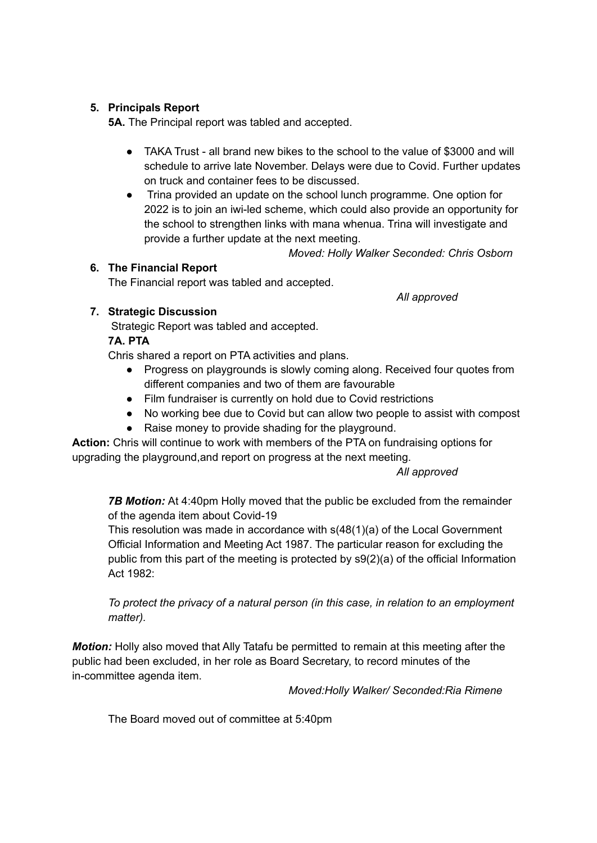# **5. Principals Report**

**5A.** The Principal report was tabled and accepted.

- TAKA Trust all brand new bikes to the school to the value of \$3000 and will schedule to arrive late November. Delays were due to Covid. Further updates on truck and container fees to be discussed.
- Trina provided an update on the school lunch programme. One option for 2022 is to join an iwi-led scheme, which could also provide an opportunity for the school to strengthen links with mana whenua. Trina will investigate and provide a further update at the next meeting.

*Moved: Holly Walker Seconded: Chris Osborn*

### **6. The Financial Report**

The Financial report was tabled and accepted.

**7. Strategic Discussion**

Strategic Report was tabled and accepted.

### **7A. PTA**

Chris shared a report on PTA activities and plans.

- Progress on playgrounds is slowly coming along. Received four quotes from different companies and two of them are favourable
- Film fundraiser is currently on hold due to Covid restrictions
- No working bee due to Covid but can allow two people to assist with compost
- Raise money to provide shading for the playground.

**Action:** Chris will continue to work with members of the PTA on fundraising options for upgrading the playground,and report on progress at the next meeting.

*All approved*

*7B Motion:* At 4:40pm Holly moved that the public be excluded from the remainder of the agenda item about Covid-19

This resolution was made in accordance with s(48(1)(a) of the Local Government Official Information and Meeting Act 1987. The particular reason for excluding the public from this part of the meeting is protected by s9(2)(a) of the official Information Act 1982:

*To protect the privacy of a natural person (in this case, in relation to an employment matter).*

*Motion:* Holly also moved that Ally Tatafu be permitted to remain at this meeting after the public had been excluded, in her role as Board Secretary, to record minutes of the in-committee agenda item.

*Moved:Holly Walker/ Seconded:Ria Rimene*

The Board moved out of committee at 5:40pm

*All approved*